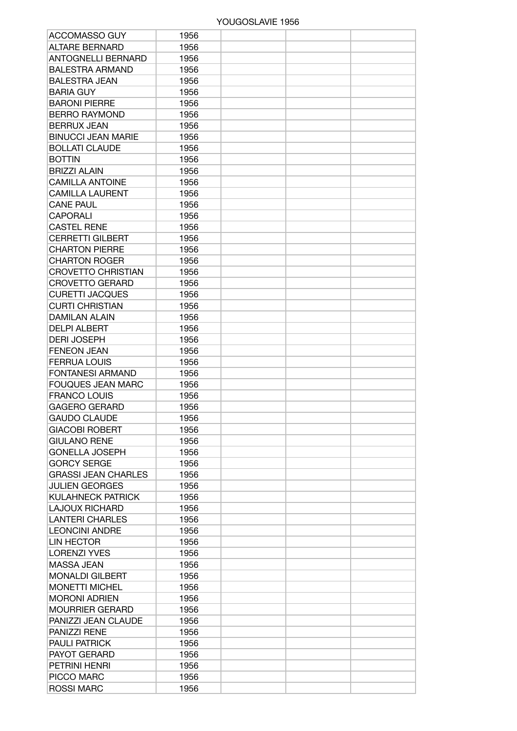## YOUGOSLAVIE 1956

| <b>ACCOMASSO GUY</b>       | 1956 |  |  |
|----------------------------|------|--|--|
| <b>ALTARE BERNARD</b>      | 1956 |  |  |
| <b>ANTOGNELLI BERNARD</b>  | 1956 |  |  |
| <b>BALESTRA ARMAND</b>     | 1956 |  |  |
| <b>BALESTRA JEAN</b>       | 1956 |  |  |
| <b>BARIA GUY</b>           | 1956 |  |  |
| <b>BARONI PIERRE</b>       | 1956 |  |  |
| <b>BERRO RAYMOND</b>       | 1956 |  |  |
| <b>BERRUX JEAN</b>         | 1956 |  |  |
| <b>BINUCCI JEAN MARIE</b>  | 1956 |  |  |
| <b>BOLLATI CLAUDE</b>      | 1956 |  |  |
| <b>BOTTIN</b>              | 1956 |  |  |
| <b>BRIZZI ALAIN</b>        |      |  |  |
|                            | 1956 |  |  |
| <b>CAMILLA ANTOINE</b>     | 1956 |  |  |
| <b>CAMILLA LAURENT</b>     | 1956 |  |  |
| <b>CANE PAUL</b>           | 1956 |  |  |
| <b>CAPORALI</b>            | 1956 |  |  |
| <b>CASTEL RENE</b>         | 1956 |  |  |
| <b>CERRETTI GILBERT</b>    | 1956 |  |  |
| <b>CHARTON PIERRE</b>      | 1956 |  |  |
| <b>CHARTON ROGER</b>       | 1956 |  |  |
| <b>CROVETTO CHRISTIAN</b>  | 1956 |  |  |
| <b>CROVETTO GERARD</b>     | 1956 |  |  |
| <b>CURETTI JACQUES</b>     | 1956 |  |  |
| <b>CURTI CHRISTIAN</b>     | 1956 |  |  |
| <b>DAMILAN ALAIN</b>       | 1956 |  |  |
| <b>DELPI ALBERT</b>        | 1956 |  |  |
| <b>DERI JOSEPH</b>         | 1956 |  |  |
| <b>FENEON JEAN</b>         | 1956 |  |  |
| <b>FERRUA LOUIS</b>        | 1956 |  |  |
| <b>FONTANESI ARMAND</b>    | 1956 |  |  |
| <b>FOUQUES JEAN MARC</b>   | 1956 |  |  |
| <b>FRANCO LOUIS</b>        | 1956 |  |  |
| <b>GAGERO GERARD</b>       | 1956 |  |  |
| <b>GAUDO CLAUDE</b>        | 1956 |  |  |
| <b>GIACOBI ROBERT</b>      | 1956 |  |  |
| <b>GIULANO RENE</b>        | 1956 |  |  |
| <b>GONELLA JOSEPH</b>      | 1956 |  |  |
| <b>GORCY SERGE</b>         | 1956 |  |  |
| <b>GRASSI JEAN CHARLES</b> | 1956 |  |  |
| <b>JULIEN GEORGES</b>      | 1956 |  |  |
| KULAHNECK PATRICK          | 1956 |  |  |
| <b>LAJOUX RICHARD</b>      | 1956 |  |  |
| <b>LANTERI CHARLES</b>     | 1956 |  |  |
| <b>LEONCINI ANDRE</b>      | 1956 |  |  |
| <b>LIN HECTOR</b>          | 1956 |  |  |
| <b>LORENZI YVES</b>        | 1956 |  |  |
| MASSA JEAN                 | 1956 |  |  |
| <b>MONALDI GILBERT</b>     | 1956 |  |  |
| <b>MONETTI MICHEL</b>      | 1956 |  |  |
| <b>MORONI ADRIEN</b>       |      |  |  |
|                            | 1956 |  |  |
| <b>MOURRIER GERARD</b>     | 1956 |  |  |
| PANIZZI JEAN CLAUDE        | 1956 |  |  |
| PANIZZI RENE               | 1956 |  |  |
| <b>PAULI PATRICK</b>       | 1956 |  |  |
| <b>PAYOT GERARD</b>        | 1956 |  |  |
| PETRINI HENRI              | 1956 |  |  |
| PICCO MARC                 | 1956 |  |  |
| <b>ROSSI MARC</b>          | 1956 |  |  |